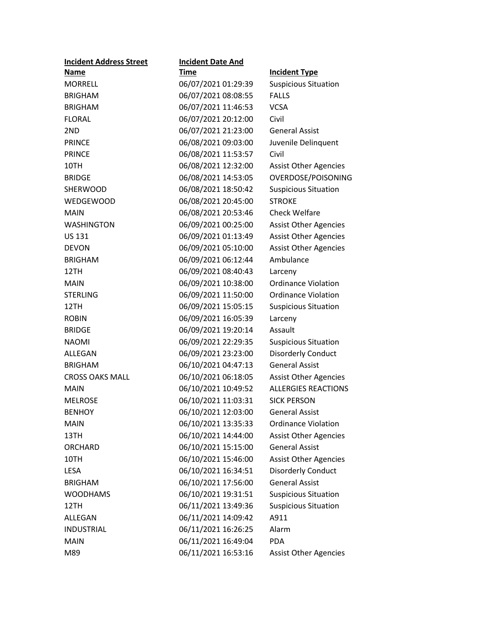| <b>Incident Address Street</b> | <b>Incident Date And</b> |                              |
|--------------------------------|--------------------------|------------------------------|
| <b>Name</b>                    | Time                     | <b>Incident Type</b>         |
| <b>MORRELL</b>                 | 06/07/2021 01:29:39      | <b>Suspicious Situation</b>  |
| <b>BRIGHAM</b>                 | 06/07/2021 08:08:55      | <b>FALLS</b>                 |
| <b>BRIGHAM</b>                 | 06/07/2021 11:46:53      | <b>VCSA</b>                  |
| <b>FLORAL</b>                  | 06/07/2021 20:12:00      | Civil                        |
| 2ND                            | 06/07/2021 21:23:00      | <b>General Assist</b>        |
| <b>PRINCE</b>                  | 06/08/2021 09:03:00      | Juvenile Delinquent          |
| <b>PRINCE</b>                  | 06/08/2021 11:53:57      | Civil                        |
| 10TH                           | 06/08/2021 12:32:00      | <b>Assist Other Agencies</b> |
| <b>BRIDGE</b>                  | 06/08/2021 14:53:05      | OVERDOSE/POISONING           |
| <b>SHERWOOD</b>                | 06/08/2021 18:50:42      | <b>Suspicious Situation</b>  |
| WEDGEWOOD                      | 06/08/2021 20:45:00      | <b>STROKE</b>                |
| MAIN                           | 06/08/2021 20:53:46      | <b>Check Welfare</b>         |
| <b>WASHINGTON</b>              | 06/09/2021 00:25:00      | <b>Assist Other Agencies</b> |
| <b>US 131</b>                  | 06/09/2021 01:13:49      | <b>Assist Other Agencies</b> |
| <b>DEVON</b>                   | 06/09/2021 05:10:00      | <b>Assist Other Agencies</b> |
| <b>BRIGHAM</b>                 | 06/09/2021 06:12:44      | Ambulance                    |
| 12TH                           | 06/09/2021 08:40:43      | Larceny                      |
| MAIN                           | 06/09/2021 10:38:00      | <b>Ordinance Violation</b>   |
| <b>STERLING</b>                | 06/09/2021 11:50:00      | <b>Ordinance Violation</b>   |
| 12TH                           | 06/09/2021 15:05:15      | <b>Suspicious Situation</b>  |
| <b>ROBIN</b>                   | 06/09/2021 16:05:39      | Larceny                      |
| <b>BRIDGE</b>                  | 06/09/2021 19:20:14      | Assault                      |
| <b>NAOMI</b>                   | 06/09/2021 22:29:35      | <b>Suspicious Situation</b>  |
| ALLEGAN                        | 06/09/2021 23:23:00      | <b>Disorderly Conduct</b>    |
| <b>BRIGHAM</b>                 | 06/10/2021 04:47:13      | <b>General Assist</b>        |
| <b>CROSS OAKS MALL</b>         | 06/10/2021 06:18:05      | <b>Assist Other Agencies</b> |
| <b>MAIN</b>                    | 06/10/2021 10:49:52      | <b>ALLERGIES REACTIONS</b>   |
| <b>MELROSE</b>                 | 06/10/2021 11:03:31      | <b>SICK PERSON</b>           |
| <b>BENHOY</b>                  | 06/10/2021 12:03:00      | <b>General Assist</b>        |
| <b>MAIN</b>                    | 06/10/2021 13:35:33      | <b>Ordinance Violation</b>   |
| 13TH                           | 06/10/2021 14:44:00      | <b>Assist Other Agencies</b> |
| ORCHARD                        | 06/10/2021 15:15:00      | <b>General Assist</b>        |
| 10TH                           | 06/10/2021 15:46:00      | <b>Assist Other Agencies</b> |
| <b>LESA</b>                    | 06/10/2021 16:34:51      | <b>Disorderly Conduct</b>    |
| <b>BRIGHAM</b>                 | 06/10/2021 17:56:00      | <b>General Assist</b>        |
| <b>WOODHAMS</b>                | 06/10/2021 19:31:51      | <b>Suspicious Situation</b>  |
| 12TH                           | 06/11/2021 13:49:36      | <b>Suspicious Situation</b>  |
| <b>ALLEGAN</b>                 | 06/11/2021 14:09:42      | A911                         |
| <b>INDUSTRIAL</b>              | 06/11/2021 16:26:25      | Alarm                        |
| <b>MAIN</b>                    | 06/11/2021 16:49:04      | <b>PDA</b>                   |
| M89                            | 06/11/2021 16:53:16      | <b>Assist Other Agencies</b> |
|                                |                          |                              |